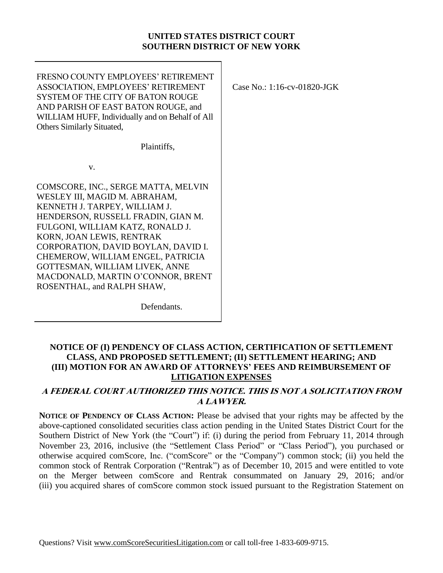### **UNITED STATES DISTRICT COURT SOUTHERN DISTRICT OF NEW YORK**

FRESNO COUNTY EMPLOYEES' RETIREMENT ASSOCIATION, EMPLOYEES' RETIREMENT SYSTEM OF THE CITY OF BATON ROUGE AND PARISH OF EAST BATON ROUGE, and WILLIAM HUFF, Individually and on Behalf of All Others Similarly Situated,

Plaintiffs,

v.

COMSCORE, INC., SERGE MATTA, MELVIN WESLEY III, MAGID M. ABRAHAM, KENNETH J. TARPEY, WILLIAM J. HENDERSON, RUSSELL FRADIN, GIAN M. FULGONI, WILLIAM KATZ, RONALD J. KORN, JOAN LEWIS, RENTRAK CORPORATION, DAVID BOYLAN, DAVID I. CHEMEROW, WILLIAM ENGEL, PATRICIA GOTTESMAN, WILLIAM LIVEK, ANNE MACDONALD, MARTIN O'CONNOR, BRENT ROSENTHAL, and RALPH SHAW,

Defendants.

## **NOTICE OF (I) PENDENCY OF CLASS ACTION, CERTIFICATION OF SETTLEMENT CLASS, AND PROPOSED SETTLEMENT; (II) SETTLEMENT HEARING; AND (III) MOTION FOR AN AWARD OF ATTORNEYS' FEES AND REIMBURSEMENT OF LITIGATION EXPENSES**

## **A FEDERAL COURT AUTHORIZED THIS NOTICE. THIS IS NOT A SOLICITATION FROM A LAWYER.**

**NOTICE OF PENDENCY OF CLASS ACTION:** Please be advised that your rights may be affected by the above-captioned consolidated securities class action pending in the United States District Court for the Southern District of New York (the "Court") if: (i) during the period from February 11, 2014 through November 23, 2016, inclusive (the "Settlement Class Period" or "Class Period"), you purchased or otherwise acquired comScore, Inc. ("comScore" or the "Company") common stock; (ii) you held the common stock of Rentrak Corporation ("Rentrak") as of December 10, 2015 and were entitled to vote on the Merger between comScore and Rentrak consummated on January 29, 2016; and/or (iii) you acquired shares of comScore common stock issued pursuant to the Registration Statement on

Case No.: 1:16-cv-01820-JGK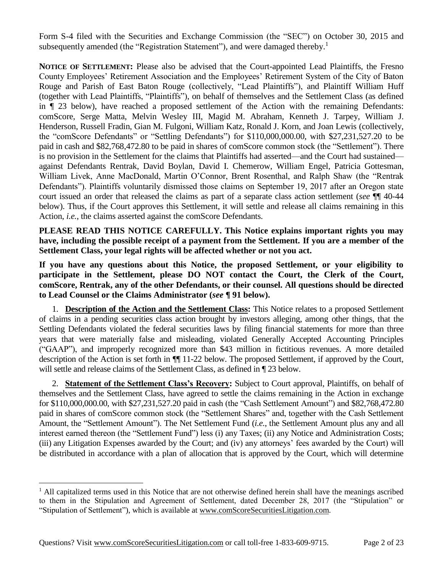Form S-4 filed with the Securities and Exchange Commission (the "SEC") on October 30, 2015 and subsequently amended (the "Registration Statement"), and were damaged thereby.<sup>1</sup>

**NOTICE OF SETTLEMENT:** Please also be advised that the Court-appointed Lead Plaintiffs, the Fresno County Employees' Retirement Association and the Employees' Retirement System of the City of Baton Rouge and Parish of East Baton Rouge (collectively, "Lead Plaintiffs"), and Plaintiff William Huff (together with Lead Plaintiffs, "Plaintiffs"), on behalf of themselves and the Settlement Class (as defined in ¶ 23 below), have reached a proposed settlement of the Action with the remaining Defendants: comScore, Serge Matta, Melvin Wesley III, Magid M. Abraham, Kenneth J. Tarpey, William J. Henderson, Russell Fradin, Gian M. Fulgoni, William Katz, Ronald J. Korn, and Joan Lewis (collectively, the "comScore Defendants" or "Settling Defendants") for \$110,000,000.00, with \$27,231,527.20 to be paid in cash and \$82,768,472.80 to be paid in shares of comScore common stock (the "Settlement"). There is no provision in the Settlement for the claims that Plaintiffs had asserted—and the Court had sustained against Defendants Rentrak, David Boylan, David I. Chemerow, William Engel, Patricia Gottesman, William Livek, Anne MacDonald, Martin O'Connor, Brent Rosenthal, and Ralph Shaw (the "Rentrak Defendants"). Plaintiffs voluntarily dismissed those claims on September 19, 2017 after an Oregon state court issued an order that released the claims as part of a separate class action settlement (*see* ¶¶ 40-44 below). Thus, if the Court approves this Settlement, it will settle and release all claims remaining in this Action, *i.e.*, the claims asserted against the comScore Defendants.

**PLEASE READ THIS NOTICE CAREFULLY. This Notice explains important rights you may have, including the possible receipt of a payment from the Settlement. If you are a member of the Settlement Class, your legal rights will be affected whether or not you act.**

**If you have any questions about this Notice, the proposed Settlement, or your eligibility to participate in the Settlement, please DO NOT contact the Court, the Clerk of the Court, comScore, Rentrak, any of the other Defendants, or their counsel. All questions should be directed to Lead Counsel or the Claims Administrator (***see* **¶ 91 below).**

1. **Description of the Action and the Settlement Class:** This Notice relates to a proposed Settlement of claims in a pending securities class action brought by investors alleging, among other things, that the Settling Defendants violated the federal securities laws by filing financial statements for more than three years that were materially false and misleading, violated Generally Accepted Accounting Principles ("GAAP"), and improperly recognized more than \$43 million in fictitious revenues. A more detailed description of the Action is set forth in ¶¶ 11-22 below. The proposed Settlement, if approved by the Court, will settle and release claims of the Settlement Class, as defined in  $\P$  23 below.

2. **Statement of the Settlement Class's Recovery:** Subject to Court approval, Plaintiffs, on behalf of themselves and the Settlement Class, have agreed to settle the claims remaining in the Action in exchange for \$110,000,000.00, with \$27,231,527.20 paid in cash (the "Cash Settlement Amount") and \$82,768,472.80 paid in shares of comScore common stock (the "Settlement Shares" and, together with the Cash Settlement Amount, the "Settlement Amount"). The Net Settlement Fund (*i.e.*, the Settlement Amount plus any and all interest earned thereon (the "Settlement Fund") less (i) any Taxes; (ii) any Notice and Administration Costs; (iii) any Litigation Expenses awarded by the Court; and (iv) any attorneys' fees awarded by the Court) will be distributed in accordance with a plan of allocation that is approved by the Court, which will determine

<sup>&</sup>lt;sup>1</sup> All capitalized terms used in this Notice that are not otherwise defined herein shall have the meanings ascribed to them in the Stipulation and Agreement of Settlement, dated December 28, 2017 (the "Stipulation" or "Stipulation of Settlement"), which is available at www.comScoreSecuritiesLitigation.com.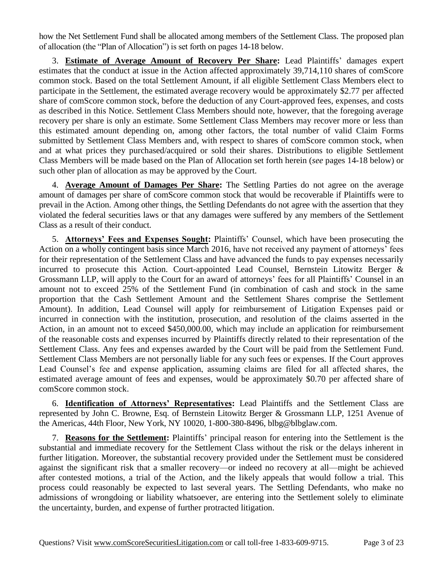how the Net Settlement Fund shall be allocated among members of the Settlement Class. The proposed plan of allocation (the "Plan of Allocation") is set forth on pages 14-18 below.

3. **Estimate of Average Amount of Recovery Per Share:** Lead Plaintiffs' damages expert estimates that the conduct at issue in the Action affected approximately 39,714,110 shares of comScore common stock. Based on the total Settlement Amount, if all eligible Settlement Class Members elect to participate in the Settlement, the estimated average recovery would be approximately \$2.77 per affected share of comScore common stock, before the deduction of any Court-approved fees, expenses, and costs as described in this Notice. Settlement Class Members should note, however, that the foregoing average recovery per share is only an estimate. Some Settlement Class Members may recover more or less than this estimated amount depending on, among other factors, the total number of valid Claim Forms submitted by Settlement Class Members and, with respect to shares of comScore common stock, when and at what prices they purchased/acquired or sold their shares. Distributions to eligible Settlement Class Members will be made based on the Plan of Allocation set forth herein (*see* pages 14-18 below) or such other plan of allocation as may be approved by the Court.

4. **Average Amount of Damages Per Share:** The Settling Parties do not agree on the average amount of damages per share of comScore common stock that would be recoverable if Plaintiffs were to prevail in the Action. Among other things, the Settling Defendants do not agree with the assertion that they violated the federal securities laws or that any damages were suffered by any members of the Settlement Class as a result of their conduct.

5. **Attorneys' Fees and Expenses Sought:** Plaintiffs' Counsel, which have been prosecuting the Action on a wholly contingent basis since March 2016, have not received any payment of attorneys' fees for their representation of the Settlement Class and have advanced the funds to pay expenses necessarily incurred to prosecute this Action. Court-appointed Lead Counsel, Bernstein Litowitz Berger & Grossmann LLP, will apply to the Court for an award of attorneys' fees for all Plaintiffs' Counsel in an amount not to exceed 25% of the Settlement Fund (in combination of cash and stock in the same proportion that the Cash Settlement Amount and the Settlement Shares comprise the Settlement Amount). In addition, Lead Counsel will apply for reimbursement of Litigation Expenses paid or incurred in connection with the institution, prosecution, and resolution of the claims asserted in the Action, in an amount not to exceed \$450,000.00, which may include an application for reimbursement of the reasonable costs and expenses incurred by Plaintiffs directly related to their representation of the Settlement Class. Any fees and expenses awarded by the Court will be paid from the Settlement Fund. Settlement Class Members are not personally liable for any such fees or expenses. If the Court approves Lead Counsel's fee and expense application, assuming claims are filed for all affected shares, the estimated average amount of fees and expenses, would be approximately \$0.70 per affected share of comScore common stock.

6. **Identification of Attorneys' Representatives:** Lead Plaintiffs and the Settlement Class are represented by John C. Browne, Esq. of Bernstein Litowitz Berger & Grossmann LLP, 1251 Avenue of the Americas, 44th Floor, New York, NY 10020, 1-800-380-8496, blbg@blbglaw.com.

7. **Reasons for the Settlement:** Plaintiffs' principal reason for entering into the Settlement is the substantial and immediate recovery for the Settlement Class without the risk or the delays inherent in further litigation. Moreover, the substantial recovery provided under the Settlement must be considered against the significant risk that a smaller recovery—or indeed no recovery at all—might be achieved after contested motions, a trial of the Action, and the likely appeals that would follow a trial. This process could reasonably be expected to last several years. The Settling Defendants, who make no admissions of wrongdoing or liability whatsoever, are entering into the Settlement solely to eliminate the uncertainty, burden, and expense of further protracted litigation.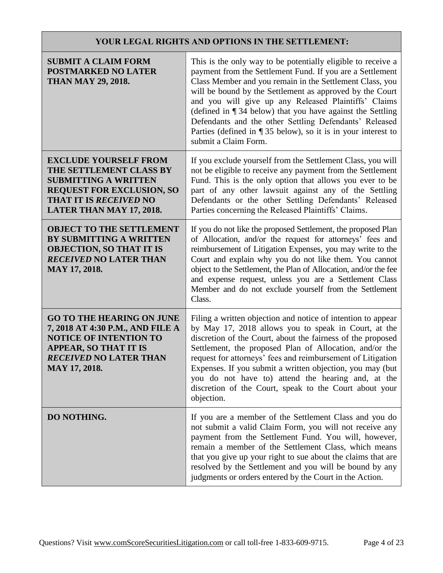# **YOUR LEGAL RIGHTS AND OPTIONS IN THE SETTLEMENT:**

| <b>SUBMIT A CLAIM FORM</b><br><b>POSTMARKED NO LATER</b><br><b>THAN MAY 29, 2018.</b>                                                                                                   | This is the only way to be potentially eligible to receive a<br>payment from the Settlement Fund. If you are a Settlement<br>Class Member and you remain in the Settlement Class, you<br>will be bound by the Settlement as approved by the Court<br>and you will give up any Released Plaintiffs' Claims<br>(defined in ¶34 below) that you have against the Settling<br>Defendants and the other Settling Defendants' Released<br>Parties (defined in $\P$ 35 below), so it is in your interest to<br>submit a Claim Form. |
|-----------------------------------------------------------------------------------------------------------------------------------------------------------------------------------------|------------------------------------------------------------------------------------------------------------------------------------------------------------------------------------------------------------------------------------------------------------------------------------------------------------------------------------------------------------------------------------------------------------------------------------------------------------------------------------------------------------------------------|
| <b>EXCLUDE YOURSELF FROM</b><br>THE SETTLEMENT CLASS BY<br><b>SUBMITTING A WRITTEN</b><br><b>REQUEST FOR EXCLUSION, SO</b><br><b>THAT IT IS RECEIVED NO</b><br>LATER THAN MAY 17, 2018. | If you exclude yourself from the Settlement Class, you will<br>not be eligible to receive any payment from the Settlement<br>Fund. This is the only option that allows you ever to be<br>part of any other lawsuit against any of the Settling<br>Defendants or the other Settling Defendants' Released<br>Parties concerning the Released Plaintiffs' Claims.                                                                                                                                                               |
| <b>OBJECT TO THE SETTLEMENT</b><br><b>BY SUBMITTING A WRITTEN</b><br><b>OBJECTION, SO THAT IT IS</b><br><b>RECEIVED NO LATER THAN</b><br>MAY 17, 2018.                                  | If you do not like the proposed Settlement, the proposed Plan<br>of Allocation, and/or the request for attorneys' fees and<br>reimbursement of Litigation Expenses, you may write to the<br>Court and explain why you do not like them. You cannot<br>object to the Settlement, the Plan of Allocation, and/or the fee<br>and expense request, unless you are a Settlement Class<br>Member and do not exclude yourself from the Settlement<br>Class.                                                                         |
| <b>GO TO THE HEARING ON JUNE</b><br>7, 2018 AT 4:30 P.M., AND FILE A<br><b>NOTICE OF INTENTION TO</b><br><b>APPEAR, SO THAT IT IS</b><br><b>RECEIVED NO LATER THAN</b><br>MAY 17, 2018. | Filing a written objection and notice of intention to appear<br>by May 17, 2018 allows you to speak in Court, at the<br>discretion of the Court, about the fairness of the proposed<br>Settlement, the proposed Plan of Allocation, and/or the<br>request for attorneys' fees and reimbursement of Litigation<br>Expenses. If you submit a written objection, you may (but<br>you do not have to) attend the hearing and, at the<br>discretion of the Court, speak to the Court about your<br>objection.                     |
| DO NOTHING.                                                                                                                                                                             | If you are a member of the Settlement Class and you do<br>not submit a valid Claim Form, you will not receive any<br>payment from the Settlement Fund. You will, however,<br>remain a member of the Settlement Class, which means<br>that you give up your right to sue about the claims that are<br>resolved by the Settlement and you will be bound by any<br>judgments or orders entered by the Court in the Action.                                                                                                      |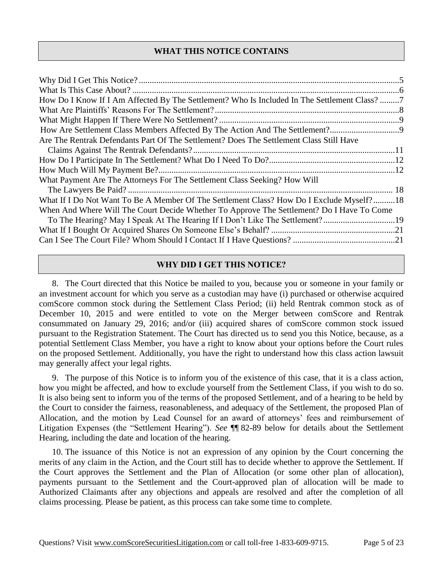## **WHAT THIS NOTICE CONTAINS**

| How Do I Know If I Am Affected By The Settlement? Who Is Included In The Settlement Class? 7 |  |
|----------------------------------------------------------------------------------------------|--|
|                                                                                              |  |
|                                                                                              |  |
| How Are Settlement Class Members Affected By The Action And The Settlement?                  |  |
| Are The Rentrak Defendants Part Of The Settlement? Does The Settlement Class Still Have      |  |
|                                                                                              |  |
|                                                                                              |  |
|                                                                                              |  |
| What Payment Are The Attorneys For The Settlement Class Seeking? How Will                    |  |
|                                                                                              |  |
| What If I Do Not Want To Be A Member Of The Settlement Class? How Do I Exclude Myself?18     |  |
| When And Where Will The Court Decide Whether To Approve The Settlement? Do I Have To Come    |  |
|                                                                                              |  |
|                                                                                              |  |
|                                                                                              |  |

### **WHY DID I GET THIS NOTICE?**

8. The Court directed that this Notice be mailed to you, because you or someone in your family or an investment account for which you serve as a custodian may have (i) purchased or otherwise acquired comScore common stock during the Settlement Class Period; (ii) held Rentrak common stock as of December 10, 2015 and were entitled to vote on the Merger between comScore and Rentrak consummated on January 29, 2016; and/or (iii) acquired shares of comScore common stock issued pursuant to the Registration Statement. The Court has directed us to send you this Notice, because, as a potential Settlement Class Member, you have a right to know about your options before the Court rules on the proposed Settlement. Additionally, you have the right to understand how this class action lawsuit may generally affect your legal rights.

9. The purpose of this Notice is to inform you of the existence of this case, that it is a class action, how you might be affected, and how to exclude yourself from the Settlement Class, if you wish to do so. It is also being sent to inform you of the terms of the proposed Settlement, and of a hearing to be held by the Court to consider the fairness, reasonableness, and adequacy of the Settlement, the proposed Plan of Allocation, and the motion by Lead Counsel for an award of attorneys' fees and reimbursement of Litigation Expenses (the "Settlement Hearing"). *See* ¶¶ 82-89 below for details about the Settlement Hearing, including the date and location of the hearing.

10. The issuance of this Notice is not an expression of any opinion by the Court concerning the merits of any claim in the Action, and the Court still has to decide whether to approve the Settlement. If the Court approves the Settlement and the Plan of Allocation (or some other plan of allocation), payments pursuant to the Settlement and the Court-approved plan of allocation will be made to Authorized Claimants after any objections and appeals are resolved and after the completion of all claims processing. Please be patient, as this process can take some time to complete.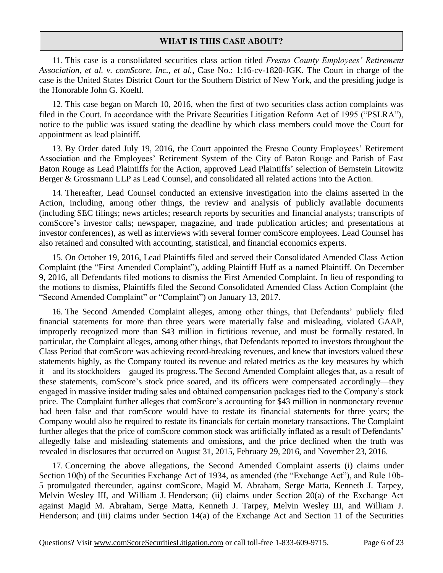#### **WHAT IS THIS CASE ABOUT?**

11. This case is a consolidated securities class action titled *Fresno County Employees' Retirement Association, et al. v. comScore, Inc., et al.*, Case No.: 1:16-cv-1820-JGK. The Court in charge of the case is the United States District Court for the Southern District of New York, and the presiding judge is the Honorable John G. Koeltl.

12. This case began on March 10, 2016, when the first of two securities class action complaints was filed in the Court. In accordance with the Private Securities Litigation Reform Act of 1995 ("PSLRA"), notice to the public was issued stating the deadline by which class members could move the Court for appointment as lead plaintiff.

13. By Order dated July 19, 2016, the Court appointed the Fresno County Employees' Retirement Association and the Employees' Retirement System of the City of Baton Rouge and Parish of East Baton Rouge as Lead Plaintiffs for the Action, approved Lead Plaintiffs' selection of Bernstein Litowitz Berger & Grossmann LLP as Lead Counsel, and consolidated all related actions into the Action.

14. Thereafter, Lead Counsel conducted an extensive investigation into the claims asserted in the Action, including, among other things, the review and analysis of publicly available documents (including SEC filings; news articles; research reports by securities and financial analysts; transcripts of comScore's investor calls; newspaper, magazine, and trade publication articles; and presentations at investor conferences), as well as interviews with several former comScore employees. Lead Counsel has also retained and consulted with accounting, statistical, and financial economics experts.

15. On October 19, 2016, Lead Plaintiffs filed and served their Consolidated Amended Class Action Complaint (the "First Amended Complaint"), adding Plaintiff Huff as a named Plaintiff. On December 9, 2016, all Defendants filed motions to dismiss the First Amended Complaint. In lieu of responding to the motions to dismiss, Plaintiffs filed the Second Consolidated Amended Class Action Complaint (the "Second Amended Complaint" or "Complaint") on January 13, 2017.

16. The Second Amended Complaint alleges, among other things, that Defendants' publicly filed financial statements for more than three years were materially false and misleading, violated GAAP, improperly recognized more than \$43 million in fictitious revenue, and must be formally restated. In particular, the Complaint alleges, among other things, that Defendants reported to investors throughout the Class Period that comScore was achieving record-breaking revenues, and knew that investors valued these statements highly, as the Company touted its revenue and related metrics as the key measures by which it—and its stockholders—gauged its progress. The Second Amended Complaint alleges that, as a result of these statements, comScore's stock price soared, and its officers were compensated accordingly—they engaged in massive insider trading sales and obtained compensation packages tied to the Company's stock price. The Complaint further alleges that comScore's accounting for \$43 million in nonmonetary revenue had been false and that comScore would have to restate its financial statements for three years; the Company would also be required to restate its financials for certain monetary transactions. The Complaint further alleges that the price of comScore common stock was artificially inflated as a result of Defendants' allegedly false and misleading statements and omissions, and the price declined when the truth was revealed in disclosures that occurred on August 31, 2015, February 29, 2016, and November 23, 2016.

17. Concerning the above allegations, the Second Amended Complaint asserts (i) claims under Section 10(b) of the Securities Exchange Act of 1934, as amended (the "Exchange Act"), and Rule 10b-5 promulgated thereunder, against comScore, Magid M. Abraham, Serge Matta, Kenneth J. Tarpey, Melvin Wesley III, and William J. Henderson; (ii) claims under Section 20(a) of the Exchange Act against Magid M. Abraham, Serge Matta, Kenneth J. Tarpey, Melvin Wesley III, and William J. Henderson; and (iii) claims under Section 14(a) of the Exchange Act and Section 11 of the Securities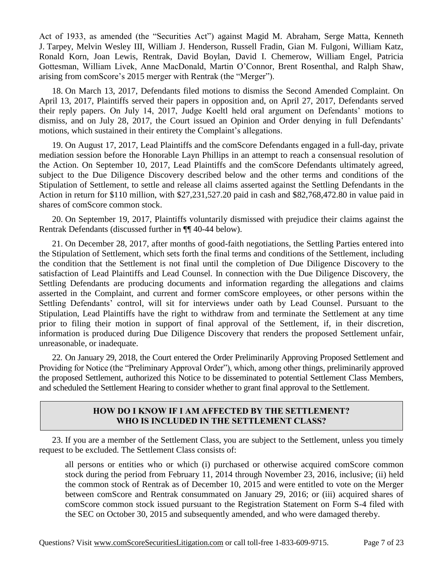Act of 1933, as amended (the "Securities Act") against Magid M. Abraham, Serge Matta, Kenneth J. Tarpey, Melvin Wesley III, William J. Henderson, Russell Fradin, Gian M. Fulgoni, William Katz, Ronald Korn, Joan Lewis, Rentrak, David Boylan, David I. Chemerow, William Engel, Patricia Gottesman, William Livek, Anne MacDonald, Martin O'Connor, Brent Rosenthal, and Ralph Shaw, arising from comScore's 2015 merger with Rentrak (the "Merger").

18. On March 13, 2017, Defendants filed motions to dismiss the Second Amended Complaint. On April 13, 2017, Plaintiffs served their papers in opposition and, on April 27, 2017, Defendants served their reply papers. On July 14, 2017, Judge Koeltl held oral argument on Defendants' motions to dismiss, and on July 28, 2017, the Court issued an Opinion and Order denying in full Defendants' motions, which sustained in their entirety the Complaint's allegations.

19. On August 17, 2017, Lead Plaintiffs and the comScore Defendants engaged in a full-day, private mediation session before the Honorable Layn Phillips in an attempt to reach a consensual resolution of the Action. On September 10, 2017, Lead Plaintiffs and the comScore Defendants ultimately agreed, subject to the Due Diligence Discovery described below and the other terms and conditions of the Stipulation of Settlement, to settle and release all claims asserted against the Settling Defendants in the Action in return for \$110 million, with \$27,231,527.20 paid in cash and \$82,768,472.80 in value paid in shares of comScore common stock.

20. On September 19, 2017, Plaintiffs voluntarily dismissed with prejudice their claims against the Rentrak Defendants (discussed further in ¶¶ 40-44 below).

21. On December 28, 2017, after months of good-faith negotiations, the Settling Parties entered into the Stipulation of Settlement, which sets forth the final terms and conditions of the Settlement, including the condition that the Settlement is not final until the completion of Due Diligence Discovery to the satisfaction of Lead Plaintiffs and Lead Counsel. In connection with the Due Diligence Discovery, the Settling Defendants are producing documents and information regarding the allegations and claims asserted in the Complaint, and current and former comScore employees, or other persons within the Settling Defendants' control, will sit for interviews under oath by Lead Counsel. Pursuant to the Stipulation, Lead Plaintiffs have the right to withdraw from and terminate the Settlement at any time prior to filing their motion in support of final approval of the Settlement, if, in their discretion, information is produced during Due Diligence Discovery that renders the proposed Settlement unfair, unreasonable, or inadequate.

22. On January 29, 2018, the Court entered the Order Preliminarily Approving Proposed Settlement and Providing for Notice (the "Preliminary Approval Order"), which, among other things, preliminarily approved the proposed Settlement, authorized this Notice to be disseminated to potential Settlement Class Members, and scheduled the Settlement Hearing to consider whether to grant final approval to the Settlement.

### **HOW DO I KNOW IF I AM AFFECTED BY THE SETTLEMENT? WHO IS INCLUDED IN THE SETTLEMENT CLASS?**

23. If you are a member of the Settlement Class, you are subject to the Settlement, unless you timely request to be excluded. The Settlement Class consists of:

all persons or entities who or which (i) purchased or otherwise acquired comScore common stock during the period from February 11, 2014 through November 23, 2016, inclusive; (ii) held the common stock of Rentrak as of December 10, 2015 and were entitled to vote on the Merger between comScore and Rentrak consummated on January 29, 2016; or (iii) acquired shares of comScore common stock issued pursuant to the Registration Statement on Form S-4 filed with the SEC on October 30, 2015 and subsequently amended, and who were damaged thereby.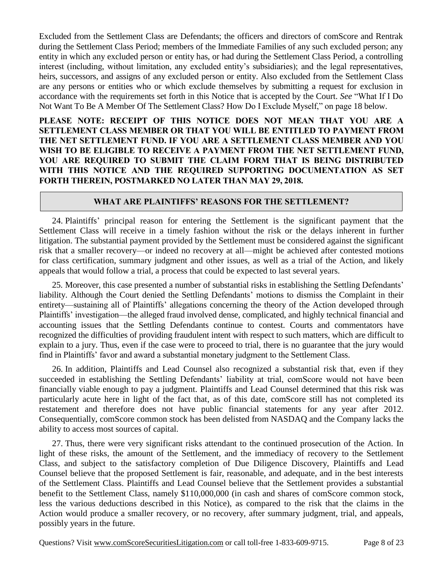Excluded from the Settlement Class are Defendants; the officers and directors of comScore and Rentrak during the Settlement Class Period; members of the Immediate Families of any such excluded person; any entity in which any excluded person or entity has, or had during the Settlement Class Period, a controlling interest (including, without limitation, any excluded entity's subsidiaries); and the legal representatives, heirs, successors, and assigns of any excluded person or entity. Also excluded from the Settlement Class are any persons or entities who or which exclude themselves by submitting a request for exclusion in accordance with the requirements set forth in this Notice that is accepted by the Court. *See* "What If I Do Not Want To Be A Member Of The Settlement Class? How Do I Exclude Myself," on page 18 below.

**PLEASE NOTE: RECEIPT OF THIS NOTICE DOES NOT MEAN THAT YOU ARE A SETTLEMENT CLASS MEMBER OR THAT YOU WILL BE ENTITLED TO PAYMENT FROM THE NET SETTLEMENT FUND. IF YOU ARE A SETTLEMENT CLASS MEMBER AND YOU WISH TO BE ELIGIBLE TO RECEIVE A PAYMENT FROM THE NET SETTLEMENT FUND, YOU ARE REQUIRED TO SUBMIT THE CLAIM FORM THAT IS BEING DISTRIBUTED WITH THIS NOTICE AND THE REQUIRED SUPPORTING DOCUMENTATION AS SET FORTH THEREIN, POSTMARKED NO LATER THAN MAY 29, 2018.**

#### **WHAT ARE PLAINTIFFS' REASONS FOR THE SETTLEMENT?**

24. Plaintiffs' principal reason for entering the Settlement is the significant payment that the Settlement Class will receive in a timely fashion without the risk or the delays inherent in further litigation. The substantial payment provided by the Settlement must be considered against the significant risk that a smaller recovery—or indeed no recovery at all—might be achieved after contested motions for class certification, summary judgment and other issues, as well as a trial of the Action, and likely appeals that would follow a trial, a process that could be expected to last several years.

25. Moreover, this case presented a number of substantial risks in establishing the Settling Defendants' liability. Although the Court denied the Settling Defendants' motions to dismiss the Complaint in their entirety—sustaining all of Plaintiffs' allegations concerning the theory of the Action developed through Plaintiffs' investigation—the alleged fraud involved dense, complicated, and highly technical financial and accounting issues that the Settling Defendants continue to contest. Courts and commentators have recognized the difficulties of providing fraudulent intent with respect to such matters, which are difficult to explain to a jury. Thus, even if the case were to proceed to trial, there is no guarantee that the jury would find in Plaintiffs' favor and award a substantial monetary judgment to the Settlement Class.

26. In addition, Plaintiffs and Lead Counsel also recognized a substantial risk that, even if they succeeded in establishing the Settling Defendants' liability at trial, comScore would not have been financially viable enough to pay a judgment. Plaintiffs and Lead Counsel determined that this risk was particularly acute here in light of the fact that, as of this date, comScore still has not completed its restatement and therefore does not have public financial statements for any year after 2012. Consequentially, comScore common stock has been delisted from NASDAQ and the Company lacks the ability to access most sources of capital.

27. Thus, there were very significant risks attendant to the continued prosecution of the Action. In light of these risks, the amount of the Settlement, and the immediacy of recovery to the Settlement Class, and subject to the satisfactory completion of Due Diligence Discovery, Plaintiffs and Lead Counsel believe that the proposed Settlement is fair, reasonable, and adequate, and in the best interests of the Settlement Class. Plaintiffs and Lead Counsel believe that the Settlement provides a substantial benefit to the Settlement Class, namely \$110,000,000 (in cash and shares of comScore common stock, less the various deductions described in this Notice), as compared to the risk that the claims in the Action would produce a smaller recovery, or no recovery, after summary judgment, trial, and appeals, possibly years in the future.

Questions? Visit www.comScoreSecuritiesLitigation.com or call toll-free 1-833-609-9715. Page 8 of 23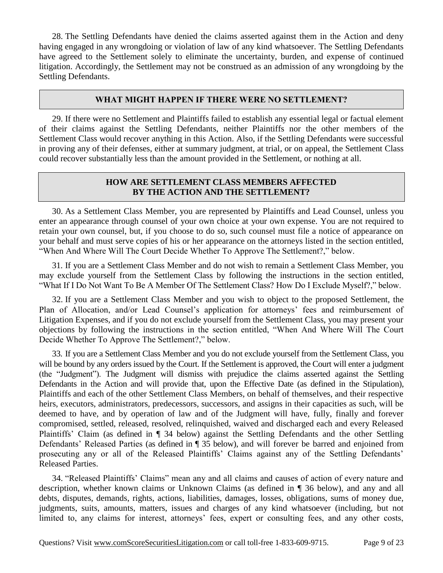28. The Settling Defendants have denied the claims asserted against them in the Action and deny having engaged in any wrongdoing or violation of law of any kind whatsoever. The Settling Defendants have agreed to the Settlement solely to eliminate the uncertainty, burden, and expense of continued litigation. Accordingly, the Settlement may not be construed as an admission of any wrongdoing by the Settling Defendants.

#### **WHAT MIGHT HAPPEN IF THERE WERE NO SETTLEMENT?**

29. If there were no Settlement and Plaintiffs failed to establish any essential legal or factual element of their claims against the Settling Defendants, neither Plaintiffs nor the other members of the Settlement Class would recover anything in this Action. Also, if the Settling Defendants were successful in proving any of their defenses, either at summary judgment, at trial, or on appeal, the Settlement Class could recover substantially less than the amount provided in the Settlement, or nothing at all.

### **HOW ARE SETTLEMENT CLASS MEMBERS AFFECTED BY THE ACTION AND THE SETTLEMENT?**

30. As a Settlement Class Member, you are represented by Plaintiffs and Lead Counsel, unless you enter an appearance through counsel of your own choice at your own expense. You are not required to retain your own counsel, but, if you choose to do so, such counsel must file a notice of appearance on your behalf and must serve copies of his or her appearance on the attorneys listed in the section entitled, "When And Where Will The Court Decide Whether To Approve The Settlement?," below.

31. If you are a Settlement Class Member and do not wish to remain a Settlement Class Member, you may exclude yourself from the Settlement Class by following the instructions in the section entitled, "What If I Do Not Want To Be A Member Of The Settlement Class? How Do I Exclude Myself?," below.

32. If you are a Settlement Class Member and you wish to object to the proposed Settlement, the Plan of Allocation, and/or Lead Counsel's application for attorneys' fees and reimbursement of Litigation Expenses, and if you do not exclude yourself from the Settlement Class, you may present your objections by following the instructions in the section entitled, "When And Where Will The Court Decide Whether To Approve The Settlement?," below.

33. If you are a Settlement Class Member and you do not exclude yourself from the Settlement Class, you will be bound by any orders issued by the Court. If the Settlement is approved, the Court will enter a judgment (the "Judgment"). The Judgment will dismiss with prejudice the claims asserted against the Settling Defendants in the Action and will provide that, upon the Effective Date (as defined in the Stipulation), Plaintiffs and each of the other Settlement Class Members, on behalf of themselves, and their respective heirs, executors, administrators, predecessors, successors, and assigns in their capacities as such, will be deemed to have, and by operation of law and of the Judgment will have, fully, finally and forever compromised, settled, released, resolved, relinquished, waived and discharged each and every Released Plaintiffs' Claim (as defined in ¶ 34 below) against the Settling Defendants and the other Settling Defendants' Released Parties (as defined in ¶ 35 below), and will forever be barred and enjoined from prosecuting any or all of the Released Plaintiffs' Claims against any of the Settling Defendants' Released Parties.

34. "Released Plaintiffs' Claims" mean any and all claims and causes of action of every nature and description, whether known claims or Unknown Claims (as defined in ¶ 36 below), and any and all debts, disputes, demands, rights, actions, liabilities, damages, losses, obligations, sums of money due, judgments, suits, amounts, matters, issues and charges of any kind whatsoever (including, but not limited to, any claims for interest, attorneys' fees, expert or consulting fees, and any other costs,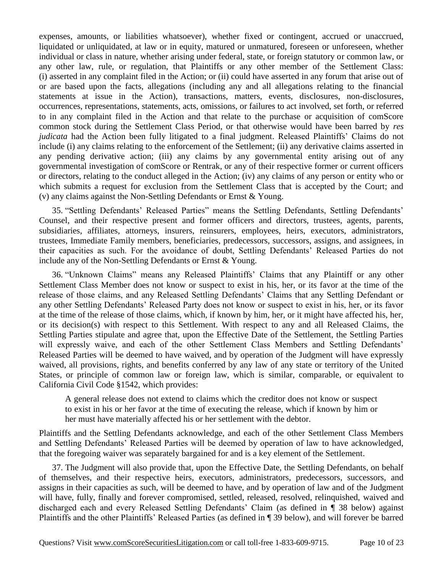expenses, amounts, or liabilities whatsoever), whether fixed or contingent, accrued or unaccrued, liquidated or unliquidated, at law or in equity, matured or unmatured, foreseen or unforeseen, whether individual or class in nature, whether arising under federal, state, or foreign statutory or common law, or any other law, rule, or regulation, that Plaintiffs or any other member of the Settlement Class: (i) asserted in any complaint filed in the Action; or (ii) could have asserted in any forum that arise out of or are based upon the facts, allegations (including any and all allegations relating to the financial statements at issue in the Action), transactions, matters, events, disclosures, non-disclosures, occurrences, representations, statements, acts, omissions, or failures to act involved, set forth, or referred to in any complaint filed in the Action and that relate to the purchase or acquisition of comScore common stock during the Settlement Class Period, or that otherwise would have been barred by *res judicata* had the Action been fully litigated to a final judgment. Released Plaintiffs' Claims do not include (i) any claims relating to the enforcement of the Settlement; (ii) any derivative claims asserted in any pending derivative action; (iii) any claims by any governmental entity arising out of any governmental investigation of comScore or Rentrak, or any of their respective former or current officers or directors, relating to the conduct alleged in the Action; (iv) any claims of any person or entity who or which submits a request for exclusion from the Settlement Class that is accepted by the Court; and (v) any claims against the Non-Settling Defendants or Ernst & Young.

35. "Settling Defendants' Released Parties" means the Settling Defendants, Settling Defendants' Counsel, and their respective present and former officers and directors, trustees, agents, parents, subsidiaries, affiliates, attorneys, insurers, reinsurers, employees, heirs, executors, administrators, trustees, Immediate Family members, beneficiaries, predecessors, successors, assigns, and assignees, in their capacities as such. For the avoidance of doubt, Settling Defendants' Released Parties do not include any of the Non-Settling Defendants or Ernst & Young.

36. "Unknown Claims" means any Released Plaintiffs' Claims that any Plaintiff or any other Settlement Class Member does not know or suspect to exist in his, her, or its favor at the time of the release of those claims, and any Released Settling Defendants' Claims that any Settling Defendant or any other Settling Defendants' Released Party does not know or suspect to exist in his, her, or its favor at the time of the release of those claims, which, if known by him, her, or it might have affected his, her, or its decision(s) with respect to this Settlement. With respect to any and all Released Claims, the Settling Parties stipulate and agree that, upon the Effective Date of the Settlement, the Settling Parties will expressly waive, and each of the other Settlement Class Members and Settling Defendants' Released Parties will be deemed to have waived, and by operation of the Judgment will have expressly waived, all provisions, rights, and benefits conferred by any law of any state or territory of the United States, or principle of common law or foreign law, which is similar, comparable, or equivalent to California Civil Code §1542, which provides:

A general release does not extend to claims which the creditor does not know or suspect to exist in his or her favor at the time of executing the release, which if known by him or her must have materially affected his or her settlement with the debtor.

Plaintiffs and the Settling Defendants acknowledge, and each of the other Settlement Class Members and Settling Defendants' Released Parties will be deemed by operation of law to have acknowledged, that the foregoing waiver was separately bargained for and is a key element of the Settlement.

37. The Judgment will also provide that, upon the Effective Date, the Settling Defendants, on behalf of themselves, and their respective heirs, executors, administrators, predecessors, successors, and assigns in their capacities as such, will be deemed to have, and by operation of law and of the Judgment will have, fully, finally and forever compromised, settled, released, resolved, relinquished, waived and discharged each and every Released Settling Defendants' Claim (as defined in ¶ 38 below) against Plaintiffs and the other Plaintiffs' Released Parties (as defined in ¶ 39 below), and will forever be barred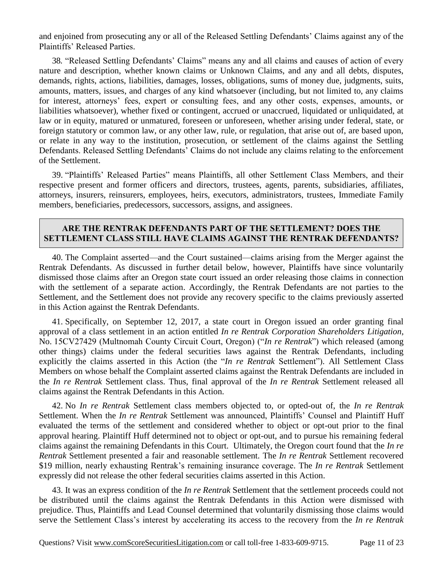and enjoined from prosecuting any or all of the Released Settling Defendants' Claims against any of the Plaintiffs' Released Parties.

38. "Released Settling Defendants' Claims" means any and all claims and causes of action of every nature and description, whether known claims or Unknown Claims, and any and all debts, disputes, demands, rights, actions, liabilities, damages, losses, obligations, sums of money due, judgments, suits, amounts, matters, issues, and charges of any kind whatsoever (including, but not limited to, any claims for interest, attorneys' fees, expert or consulting fees, and any other costs, expenses, amounts, or liabilities whatsoever), whether fixed or contingent, accrued or unaccrued, liquidated or unliquidated, at law or in equity, matured or unmatured, foreseen or unforeseen, whether arising under federal, state, or foreign statutory or common law, or any other law, rule, or regulation, that arise out of, are based upon, or relate in any way to the institution, prosecution, or settlement of the claims against the Settling Defendants. Released Settling Defendants' Claims do not include any claims relating to the enforcement of the Settlement.

39. "Plaintiffs' Released Parties" means Plaintiffs, all other Settlement Class Members, and their respective present and former officers and directors, trustees, agents, parents, subsidiaries, affiliates, attorneys, insurers, reinsurers, employees, heirs, executors, administrators, trustees, Immediate Family members, beneficiaries, predecessors, successors, assigns, and assignees.

#### **ARE THE RENTRAK DEFENDANTS PART OF THE SETTLEMENT? DOES THE SETTLEMENT CLASS STILL HAVE CLAIMS AGAINST THE RENTRAK DEFENDANTS?**

40. The Complaint asserted—and the Court sustained—claims arising from the Merger against the Rentrak Defendants. As discussed in further detail below, however, Plaintiffs have since voluntarily dismissed those claims after an Oregon state court issued an order releasing those claims in connection with the settlement of a separate action. Accordingly, the Rentrak Defendants are not parties to the Settlement, and the Settlement does not provide any recovery specific to the claims previously asserted in this Action against the Rentrak Defendants.

41. Specifically, on September 12, 2017, a state court in Oregon issued an order granting final approval of a class settlement in an action entitled *In re Rentrak Corporation Shareholders Litigation*, No. 15CV27429 (Multnomah County Circuit Court, Oregon) ("*In re Rentrak*") which released (among other things) claims under the federal securities laws against the Rentrak Defendants, including explicitly the claims asserted in this Action (the "*In re Rentrak* Settlement"). All Settlement Class Members on whose behalf the Complaint asserted claims against the Rentrak Defendants are included in the *In re Rentrak* Settlement class. Thus, final approval of the *In re Rentrak* Settlement released all claims against the Rentrak Defendants in this Action.

42. No *In re Rentrak* Settlement class members objected to, or opted-out of, the *In re Rentrak*  Settlement. When the *In re Rentrak* Settlement was announced, Plaintiffs' Counsel and Plaintiff Huff evaluated the terms of the settlement and considered whether to object or opt-out prior to the final approval hearing. Plaintiff Huff determined not to object or opt-out, and to pursue his remaining federal claims against the remaining Defendants in this Court. Ultimately, the Oregon court found that the *In re Rentrak* Settlement presented a fair and reasonable settlement. The *In re Rentrak* Settlement recovered \$19 million, nearly exhausting Rentrak's remaining insurance coverage. The *In re Rentrak* Settlement expressly did not release the other federal securities claims asserted in this Action.

43. It was an express condition of the *In re Rentrak* Settlement that the settlement proceeds could not be distributed until the claims against the Rentrak Defendants in this Action were dismissed with prejudice. Thus, Plaintiffs and Lead Counsel determined that voluntarily dismissing those claims would serve the Settlement Class's interest by accelerating its access to the recovery from the *In re Rentrak*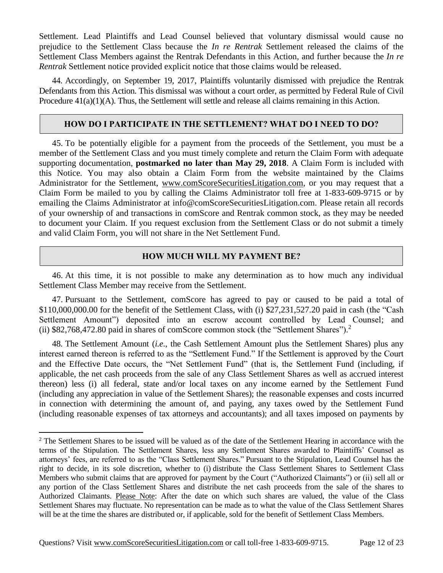Settlement. Lead Plaintiffs and Lead Counsel believed that voluntary dismissal would cause no prejudice to the Settlement Class because the *In re Rentrak* Settlement released the claims of the Settlement Class Members against the Rentrak Defendants in this Action, and further because the *In re Rentrak* Settlement notice provided explicit notice that those claims would be released.

44. Accordingly, on September 19, 2017, Plaintiffs voluntarily dismissed with prejudice the Rentrak Defendants from this Action. This dismissal was without a court order, as permitted by Federal Rule of Civil Procedure  $41(a)(1)(A)$ . Thus, the Settlement will settle and release all claims remaining in this Action.

#### **HOW DO I PARTICIPATE IN THE SETTLEMENT? WHAT DO I NEED TO DO?**

45. To be potentially eligible for a payment from the proceeds of the Settlement, you must be a member of the Settlement Class and you must timely complete and return the Claim Form with adequate supporting documentation, **postmarked no later than May 29, 2018**. A Claim Form is included with this Notice. You may also obtain a Claim Form from the website maintained by the Claims Administrator for the Settlement, www.comScoreSecuritiesLitigation.com, or you may request that a Claim Form be mailed to you by calling the Claims Administrator toll free at 1-833-609-9715 or by emailing the Claims Administrator at info@comScoreSecuritiesLitigation.com. Please retain all records of your ownership of and transactions in comScore and Rentrak common stock, as they may be needed to document your Claim. If you request exclusion from the Settlement Class or do not submit a timely and valid Claim Form, you will not share in the Net Settlement Fund.

## **HOW MUCH WILL MY PAYMENT BE?**

46. At this time, it is not possible to make any determination as to how much any individual Settlement Class Member may receive from the Settlement.

47. Pursuant to the Settlement, comScore has agreed to pay or caused to be paid a total of \$110,000,000.00 for the benefit of the Settlement Class, with (i) \$27,231,527.20 paid in cash (the "Cash Settlement Amount") deposited into an escrow account controlled by Lead Counsel; and (ii) \$82,768,472.80 paid in shares of comScore common stock (the "Settlement Shares").<sup>2</sup>

48. The Settlement Amount (*i.e*., the Cash Settlement Amount plus the Settlement Shares) plus any interest earned thereon is referred to as the "Settlement Fund." If the Settlement is approved by the Court and the Effective Date occurs, the "Net Settlement Fund" (that is, the Settlement Fund (including, if applicable, the net cash proceeds from the sale of any Class Settlement Shares as well as accrued interest thereon) less (i) all federal, state and/or local taxes on any income earned by the Settlement Fund (including any appreciation in value of the Settlement Shares); the reasonable expenses and costs incurred in connection with determining the amount of, and paying, any taxes owed by the Settlement Fund (including reasonable expenses of tax attorneys and accountants); and all taxes imposed on payments by

Questions? Visit www.comScoreSecuritiesLitigation.com or call toll-free 1-833-609-9715. Page 12 of 23

<sup>&</sup>lt;sup>2</sup> The Settlement Shares to be issued will be valued as of the date of the Settlement Hearing in accordance with the terms of the Stipulation. The Settlement Shares, less any Settlement Shares awarded to Plaintiffs' Counsel as attorneys' fees, are referred to as the "Class Settlement Shares." Pursuant to the Stipulation, Lead Counsel has the right to decide, in its sole discretion, whether to (i) distribute the Class Settlement Shares to Settlement Class Members who submit claims that are approved for payment by the Court ("Authorized Claimants") or (ii) sell all or any portion of the Class Settlement Shares and distribute the net cash proceeds from the sale of the shares to Authorized Claimants. Please Note: After the date on which such shares are valued, the value of the Class Settlement Shares may fluctuate. No representation can be made as to what the value of the Class Settlement Shares will be at the time the shares are distributed or, if applicable, sold for the benefit of Settlement Class Members.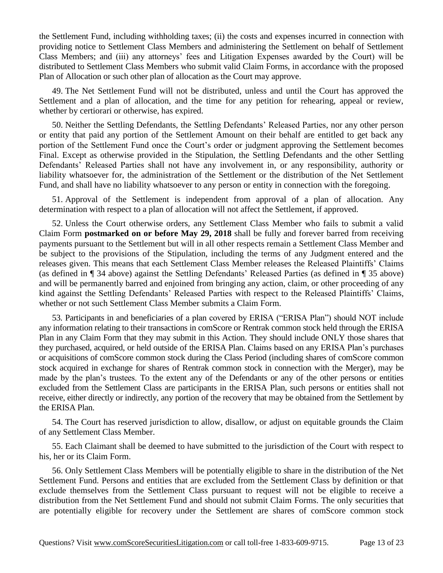the Settlement Fund, including withholding taxes; (ii) the costs and expenses incurred in connection with providing notice to Settlement Class Members and administering the Settlement on behalf of Settlement Class Members; and (iii) any attorneys' fees and Litigation Expenses awarded by the Court) will be distributed to Settlement Class Members who submit valid Claim Forms, in accordance with the proposed Plan of Allocation or such other plan of allocation as the Court may approve.

49. The Net Settlement Fund will not be distributed, unless and until the Court has approved the Settlement and a plan of allocation, and the time for any petition for rehearing, appeal or review, whether by certiorari or otherwise, has expired.

50. Neither the Settling Defendants, the Settling Defendants' Released Parties, nor any other person or entity that paid any portion of the Settlement Amount on their behalf are entitled to get back any portion of the Settlement Fund once the Court's order or judgment approving the Settlement becomes Final. Except as otherwise provided in the Stipulation, the Settling Defendants and the other Settling Defendants' Released Parties shall not have any involvement in, or any responsibility, authority or liability whatsoever for, the administration of the Settlement or the distribution of the Net Settlement Fund, and shall have no liability whatsoever to any person or entity in connection with the foregoing.

51. Approval of the Settlement is independent from approval of a plan of allocation. Any determination with respect to a plan of allocation will not affect the Settlement, if approved.

52. Unless the Court otherwise orders, any Settlement Class Member who fails to submit a valid Claim Form **postmarked on or before May 29, 2018** shall be fully and forever barred from receiving payments pursuant to the Settlement but will in all other respects remain a Settlement Class Member and be subject to the provisions of the Stipulation, including the terms of any Judgment entered and the releases given. This means that each Settlement Class Member releases the Released Plaintiffs' Claims (as defined in ¶ 34 above) against the Settling Defendants' Released Parties (as defined in ¶ 35 above) and will be permanently barred and enjoined from bringing any action, claim, or other proceeding of any kind against the Settling Defendants' Released Parties with respect to the Released Plaintiffs' Claims, whether or not such Settlement Class Member submits a Claim Form.

53. Participants in and beneficiaries of a plan covered by ERISA ("ERISA Plan") should NOT include any information relating to their transactions in comScore or Rentrak common stock held through the ERISA Plan in any Claim Form that they may submit in this Action. They should include ONLY those shares that they purchased, acquired, or held outside of the ERISA Plan. Claims based on any ERISA Plan's purchases or acquisitions of comScore common stock during the Class Period (including shares of comScore common stock acquired in exchange for shares of Rentrak common stock in connection with the Merger), may be made by the plan's trustees. To the extent any of the Defendants or any of the other persons or entities excluded from the Settlement Class are participants in the ERISA Plan, such persons or entities shall not receive, either directly or indirectly, any portion of the recovery that may be obtained from the Settlement by the ERISA Plan.

54. The Court has reserved jurisdiction to allow, disallow, or adjust on equitable grounds the Claim of any Settlement Class Member.

55. Each Claimant shall be deemed to have submitted to the jurisdiction of the Court with respect to his, her or its Claim Form.

56. Only Settlement Class Members will be potentially eligible to share in the distribution of the Net Settlement Fund. Persons and entities that are excluded from the Settlement Class by definition or that exclude themselves from the Settlement Class pursuant to request will not be eligible to receive a distribution from the Net Settlement Fund and should not submit Claim Forms. The only securities that are potentially eligible for recovery under the Settlement are shares of comScore common stock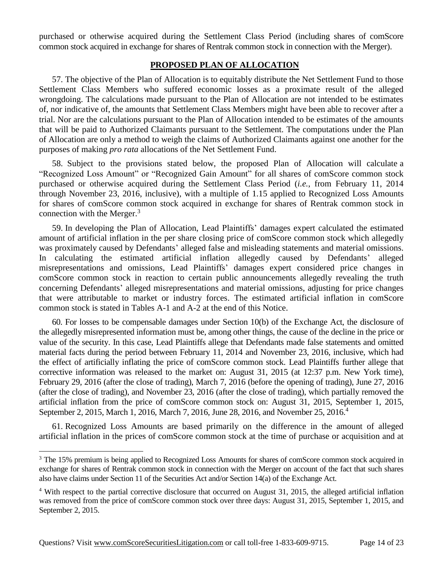purchased or otherwise acquired during the Settlement Class Period (including shares of comScore common stock acquired in exchange for shares of Rentrak common stock in connection with the Merger).

#### **PROPOSED PLAN OF ALLOCATION**

57. The objective of the Plan of Allocation is to equitably distribute the Net Settlement Fund to those Settlement Class Members who suffered economic losses as a proximate result of the alleged wrongdoing. The calculations made pursuant to the Plan of Allocation are not intended to be estimates of, nor indicative of, the amounts that Settlement Class Members might have been able to recover after a trial. Nor are the calculations pursuant to the Plan of Allocation intended to be estimates of the amounts that will be paid to Authorized Claimants pursuant to the Settlement. The computations under the Plan of Allocation are only a method to weigh the claims of Authorized Claimants against one another for the purposes of making *pro rata* allocations of the Net Settlement Fund.

58. Subject to the provisions stated below, the proposed Plan of Allocation will calculate a "Recognized Loss Amount" or "Recognized Gain Amount" for all shares of comScore common stock purchased or otherwise acquired during the Settlement Class Period (*i.e.*, from February 11, 2014 through November 23, 2016, inclusive), with a multiple of 1.15 applied to Recognized Loss Amounts for shares of comScore common stock acquired in exchange for shares of Rentrak common stock in connection with the Merger. $3$ 

59. In developing the Plan of Allocation, Lead Plaintiffs' damages expert calculated the estimated amount of artificial inflation in the per share closing price of comScore common stock which allegedly was proximately caused by Defendants' alleged false and misleading statements and material omissions. In calculating the estimated artificial inflation allegedly caused by Defendants' alleged misrepresentations and omissions, Lead Plaintiffs' damages expert considered price changes in comScore common stock in reaction to certain public announcements allegedly revealing the truth concerning Defendants' alleged misrepresentations and material omissions, adjusting for price changes that were attributable to market or industry forces. The estimated artificial inflation in comScore common stock is stated in Tables A-1 and A-2 at the end of this Notice.

60. For losses to be compensable damages under Section 10(b) of the Exchange Act, the disclosure of the allegedly misrepresented information must be, among other things, the cause of the decline in the price or value of the security. In this case, Lead Plaintiffs allege that Defendants made false statements and omitted material facts during the period between February 11, 2014 and November 23, 2016, inclusive, which had the effect of artificially inflating the price of comScore common stock. Lead Plaintiffs further allege that corrective information was released to the market on: August 31, 2015 (at 12:37 p.m. New York time), February 29, 2016 (after the close of trading), March 7, 2016 (before the opening of trading), June 27, 2016 (after the close of trading), and November 23, 2016 (after the close of trading), which partially removed the artificial inflation from the price of comScore common stock on: August 31, 2015, September 1, 2015, September 2, 2015, March 1, 2016, March 7, 2016, June 28, 2016, and November 25, 2016.<sup>4</sup>

61. Recognized Loss Amounts are based primarily on the difference in the amount of alleged artificial inflation in the prices of comScore common stock at the time of purchase or acquisition and at

Questions? Visit www.comScoreSecuritiesLitigation.com or call toll-free 1-833-609-9715. Page 14 of 23

<sup>&</sup>lt;sup>3</sup> The 15% premium is being applied to Recognized Loss Amounts for shares of comScore common stock acquired in exchange for shares of Rentrak common stock in connection with the Merger on account of the fact that such shares also have claims under Section 11 of the Securities Act and/or Section 14(a) of the Exchange Act.

<sup>4</sup> With respect to the partial corrective disclosure that occurred on August 31, 2015, the alleged artificial inflation was removed from the price of comScore common stock over three days: August 31, 2015, September 1, 2015, and September 2, 2015.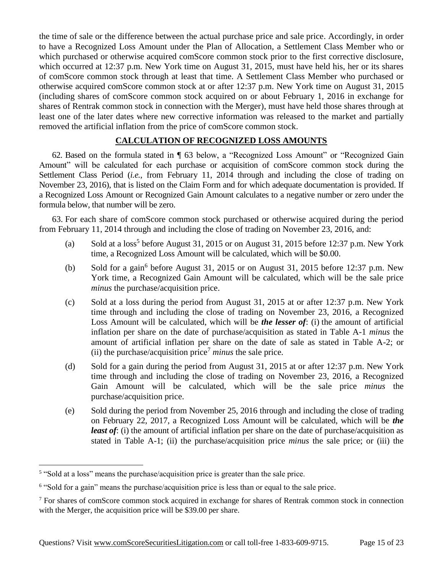the time of sale or the difference between the actual purchase price and sale price. Accordingly, in order to have a Recognized Loss Amount under the Plan of Allocation, a Settlement Class Member who or which purchased or otherwise acquired comScore common stock prior to the first corrective disclosure, which occurred at 12:37 p.m. New York time on August 31, 2015, must have held his, her or its shares of comScore common stock through at least that time. A Settlement Class Member who purchased or otherwise acquired comScore common stock at or after 12:37 p.m. New York time on August 31, 2015 (including shares of comScore common stock acquired on or about February 1, 2016 in exchange for shares of Rentrak common stock in connection with the Merger), must have held those shares through at least one of the later dates where new corrective information was released to the market and partially removed the artificial inflation from the price of comScore common stock.

## **CALCULATION OF RECOGNIZED LOSS AMOUNTS**

62. Based on the formula stated in ¶ 63 below, a "Recognized Loss Amount" or "Recognized Gain Amount" will be calculated for each purchase or acquisition of comScore common stock during the Settlement Class Period (*i.e.*, from February 11, 2014 through and including the close of trading on November 23, 2016), that is listed on the Claim Form and for which adequate documentation is provided. If a Recognized Loss Amount or Recognized Gain Amount calculates to a negative number or zero under the formula below, that number will be zero.

63. For each share of comScore common stock purchased or otherwise acquired during the period from February 11, 2014 through and including the close of trading on November 23, 2016, and:

- (a) Sold at a loss<sup>5</sup> before August 31, 2015 or on August 31, 2015 before 12:37 p.m. New York time, a Recognized Loss Amount will be calculated, which will be \$0.00.
- (b) Sold for a gain<sup>6</sup> before August 31, 2015 or on August 31, 2015 before 12:37 p.m. New York time, a Recognized Gain Amount will be calculated, which will be the sale price *minus* the purchase/acquisition price.
- (c) Sold at a loss during the period from August 31, 2015 at or after 12:37 p.m. New York time through and including the close of trading on November 23, 2016, a Recognized Loss Amount will be calculated, which will be *the lesser of*: (i) the amount of artificial inflation per share on the date of purchase/acquisition as stated in Table A-1 *minus* the amount of artificial inflation per share on the date of sale as stated in Table A-2; or (ii) the purchase/acquisition price<sup>7</sup> *minus* the sale price.
- (d) Sold for a gain during the period from August 31, 2015 at or after 12:37 p.m. New York time through and including the close of trading on November 23, 2016, a Recognized Gain Amount will be calculated, which will be the sale price *minus* the purchase/acquisition price.
- (e) Sold during the period from November 25, 2016 through and including the close of trading on February 22, 2017, a Recognized Loss Amount will be calculated, which will be *the least of*: (i) the amount of artificial inflation per share on the date of purchase/acquisition as stated in Table A-1; (ii) the purchase/acquisition price *minus* the sale price; or (iii) the

<sup>&</sup>lt;sup>5</sup> "Sold at a loss" means the purchase/acquisition price is greater than the sale price.

<sup>&</sup>lt;sup>6</sup> "Sold for a gain" means the purchase/acquisition price is less than or equal to the sale price.

<sup>7</sup> For shares of comScore common stock acquired in exchange for shares of Rentrak common stock in connection with the Merger, the acquisition price will be \$39.00 per share.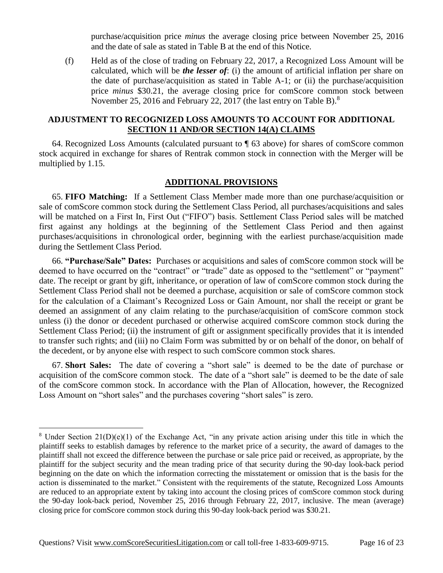purchase/acquisition price *minus* the average closing price between November 25, 2016 and the date of sale as stated in Table B at the end of this Notice.

(f) Held as of the close of trading on February 22, 2017, a Recognized Loss Amount will be calculated, which will be *the lesser of*: (i) the amount of artificial inflation per share on the date of purchase/acquisition as stated in Table A-1; or (ii) the purchase/acquisition price *minus* \$30.21, the average closing price for comScore common stock between November 25, 2016 and February 22, 2017 (the last entry on Table B). $8$ 

### **ADJUSTMENT TO RECOGNIZED LOSS AMOUNTS TO ACCOUNT FOR ADDITIONAL SECTION 11 AND/OR SECTION 14(A) CLAIMS**

64. Recognized Loss Amounts (calculated pursuant to ¶ 63 above) for shares of comScore common stock acquired in exchange for shares of Rentrak common stock in connection with the Merger will be multiplied by 1.15.

### **ADDITIONAL PROVISIONS**

65. **FIFO Matching:** If a Settlement Class Member made more than one purchase/acquisition or sale of comScore common stock during the Settlement Class Period, all purchases/acquisitions and sales will be matched on a First In, First Out ("FIFO") basis. Settlement Class Period sales will be matched first against any holdings at the beginning of the Settlement Class Period and then against purchases/acquisitions in chronological order, beginning with the earliest purchase/acquisition made during the Settlement Class Period.

66. **"Purchase/Sale" Dates:** Purchases or acquisitions and sales of comScore common stock will be deemed to have occurred on the "contract" or "trade" date as opposed to the "settlement" or "payment" date. The receipt or grant by gift, inheritance, or operation of law of comScore common stock during the Settlement Class Period shall not be deemed a purchase, acquisition or sale of comScore common stock for the calculation of a Claimant's Recognized Loss or Gain Amount, nor shall the receipt or grant be deemed an assignment of any claim relating to the purchase/acquisition of comScore common stock unless (i) the donor or decedent purchased or otherwise acquired comScore common stock during the Settlement Class Period; (ii) the instrument of gift or assignment specifically provides that it is intended to transfer such rights; and (iii) no Claim Form was submitted by or on behalf of the donor, on behalf of the decedent, or by anyone else with respect to such comScore common stock shares.

67. **Short Sales:** The date of covering a "short sale" is deemed to be the date of purchase or acquisition of the comScore common stock. The date of a "short sale" is deemed to be the date of sale of the comScore common stock. In accordance with the Plan of Allocation, however, the Recognized Loss Amount on "short sales" and the purchases covering "short sales" is zero.

<sup>&</sup>lt;sup>8</sup> Under Section  $21(D)(e)(1)$  of the Exchange Act, "in any private action arising under this title in which the plaintiff seeks to establish damages by reference to the market price of a security, the award of damages to the plaintiff shall not exceed the difference between the purchase or sale price paid or received, as appropriate, by the plaintiff for the subject security and the mean trading price of that security during the 90-day look-back period beginning on the date on which the information correcting the misstatement or omission that is the basis for the action is disseminated to the market." Consistent with the requirements of the statute, Recognized Loss Amounts are reduced to an appropriate extent by taking into account the closing prices of comScore common stock during the 90-day look-back period, November 25, 2016 through February 22, 2017, inclusive. The mean (average) closing price for comScore common stock during this 90-day look-back period was \$30.21.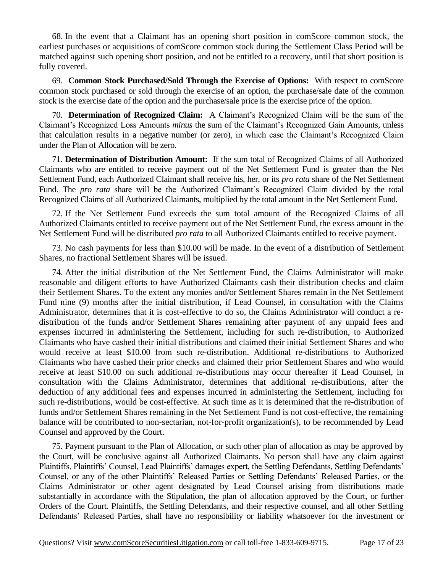68. In the event that a Claimant has an opening short position in comScore common stock, the earliest purchases or acquisitions of comScore common stock during the Settlement Class Period will be matched against such opening short position, and not be entitled to a recovery, until that short position is fully covered.

69. **Common Stock Purchased/Sold Through the Exercise of Options:** With respect to comScore common stock purchased or sold through the exercise of an option, the purchase/sale date of the common stock is the exercise date of the option and the purchase/sale price is the exercise price of the option.

70. **Determination of Recognized Claim:** A Claimant's Recognized Claim will be the sum of the Claimant's Recognized Loss Amounts *minus* the sum of the Claimant's Recognized Gain Amounts, unless that calculation results in a negative number (or zero), in which case the Claimant's Recognized Claim under the Plan of Allocation will be zero.

71. **Determination of Distribution Amount:** If the sum total of Recognized Claims of all Authorized Claimants who are entitled to receive payment out of the Net Settlement Fund is greater than the Net Settlement Fund, each Authorized Claimant shall receive his, her, or its *pro rata* share of the Net Settlement Fund. The *pro rata* share will be the Authorized Claimant's Recognized Claim divided by the total Recognized Claims of all Authorized Claimants, multiplied by the total amount in the Net Settlement Fund.

72. If the Net Settlement Fund exceeds the sum total amount of the Recognized Claims of all Authorized Claimants entitled to receive payment out of the Net Settlement Fund, the excess amount in the Net Settlement Fund will be distributed *pro rata* to all Authorized Claimants entitled to receive payment.

73. No cash payments for less than \$10.00 will be made. In the event of a distribution of Settlement Shares, no fractional Settlement Shares will be issued.

74. After the initial distribution of the Net Settlement Fund, the Claims Administrator will make reasonable and diligent efforts to have Authorized Claimants cash their distribution checks and claim their Settlement Shares. To the extent any monies and/or Settlement Shares remain in the Net Settlement Fund nine (9) months after the initial distribution, if Lead Counsel, in consultation with the Claims Administrator, determines that it is cost-effective to do so, the Claims Administrator will conduct a redistribution of the funds and/or Settlement Shares remaining after payment of any unpaid fees and expenses incurred in administering the Settlement, including for such re-distribution, to Authorized Claimants who have cashed their initial distributions and claimed their initial Settlement Shares and who would receive at least \$10.00 from such re-distribution. Additional re-distributions to Authorized Claimants who have cashed their prior checks and claimed their prior Settlement Shares and who would receive at least \$10.00 on such additional re-distributions may occur thereafter if Lead Counsel, in consultation with the Claims Administrator, determines that additional re-distributions, after the deduction of any additional fees and expenses incurred in administering the Settlement, including for such re-distributions, would be cost-effective. At such time as it is determined that the re-distribution of funds and/or Settlement Shares remaining in the Net Settlement Fund is not cost-effective, the remaining balance will be contributed to non-sectarian, not-for-profit organization(s), to be recommended by Lead Counsel and approved by the Court.

75. Payment pursuant to the Plan of Allocation, or such other plan of allocation as may be approved by the Court, will be conclusive against all Authorized Claimants. No person shall have any claim against Plaintiffs, Plaintiffs' Counsel, Lead Plaintiffs' damages expert, the Settling Defendants, Settling Defendants' Counsel, or any of the other Plaintiffs' Released Parties or Settling Defendants' Released Parties, or the Claims Administrator or other agent designated by Lead Counsel arising from distributions made substantially in accordance with the Stipulation, the plan of allocation approved by the Court, or further Orders of the Court. Plaintiffs, the Settling Defendants, and their respective counsel, and all other Settling Defendants' Released Parties, shall have no responsibility or liability whatsoever for the investment or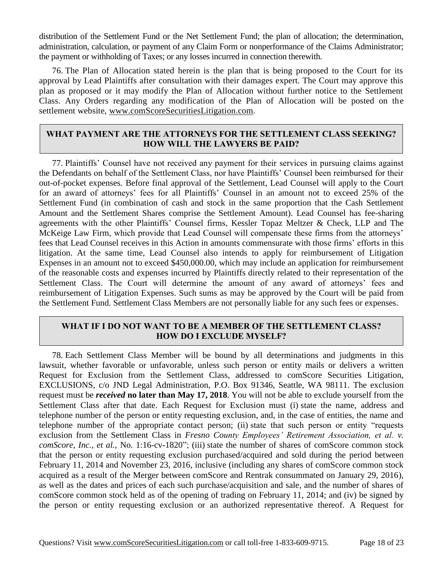distribution of the Settlement Fund or the Net Settlement Fund; the plan of allocation; the determination, administration, calculation, or payment of any Claim Form or nonperformance of the Claims Administrator; the payment or withholding of Taxes; or any losses incurred in connection therewith.

76. The Plan of Allocation stated herein is the plan that is being proposed to the Court for its approval by Lead Plaintiffs after consultation with their damages expert. The Court may approve this plan as proposed or it may modify the Plan of Allocation without further notice to the Settlement Class. Any Orders regarding any modification of the Plan of Allocation will be posted on the settlement website, www.comScoreSecuritiesLitigation.com.

## **WHAT PAYMENT ARE THE ATTORNEYS FOR THE SETTLEMENT CLASS SEEKING? HOW WILL THE LAWYERS BE PAID?**

77. Plaintiffs' Counsel have not received any payment for their services in pursuing claims against the Defendants on behalf of the Settlement Class, nor have Plaintiffs' Counsel been reimbursed for their out-of-pocket expenses. Before final approval of the Settlement, Lead Counsel will apply to the Court for an award of attorneys' fees for all Plaintiffs' Counsel in an amount not to exceed 25% of the Settlement Fund (in combination of cash and stock in the same proportion that the Cash Settlement Amount and the Settlement Shares comprise the Settlement Amount). Lead Counsel has fee-sharing agreements with the other Plaintiffs' Counsel firms, Kessler Topaz Meltzer & Check, LLP and The McKeige Law Firm, which provide that Lead Counsel will compensate these firms from the attorneys' fees that Lead Counsel receives in this Action in amounts commensurate with those firms' efforts in this litigation. At the same time, Lead Counsel also intends to apply for reimbursement of Litigation Expenses in an amount not to exceed \$450,000.00, which may include an application for reimbursement of the reasonable costs and expenses incurred by Plaintiffs directly related to their representation of the Settlement Class. The Court will determine the amount of any award of attorneys' fees and reimbursement of Litigation Expenses. Such sums as may be approved by the Court will be paid from the Settlement Fund. Settlement Class Members are not personally liable for any such fees or expenses.

## **WHAT IF I DO NOT WANT TO BE A MEMBER OF THE SETTLEMENT CLASS? HOW DO I EXCLUDE MYSELF?**

78. Each Settlement Class Member will be bound by all determinations and judgments in this lawsuit, whether favorable or unfavorable, unless such person or entity mails or delivers a written Request for Exclusion from the Settlement Class, addressed to comScore Securities Litigation, EXCLUSIONS, c/o JND Legal Administration, P.O. Box 91346, Seattle, WA 98111. The exclusion request must be *received* **no later than May 17, 2018**. You will not be able to exclude yourself from the Settlement Class after that date. Each Request for Exclusion must (i) state the name, address and telephone number of the person or entity requesting exclusion, and, in the case of entities, the name and telephone number of the appropriate contact person; (ii) state that such person or entity "requests exclusion from the Settlement Class in *Fresno County Employees' Retirement Association, et al. v. comScore, Inc., et al.*, No. 1:16-cv-1820"; (iii) state the number of shares of comScore common stock that the person or entity requesting exclusion purchased/acquired and sold during the period between February 11, 2014 and November 23, 2016, inclusive (including any shares of comScore common stock acquired as a result of the Merger between comScore and Rentrak consummated on January 29, 2016), as well as the dates and prices of each such purchase/acquisition and sale, and the number of shares of comScore common stock held as of the opening of trading on February 11, 2014; and (iv) be signed by the person or entity requesting exclusion or an authorized representative thereof. A Request for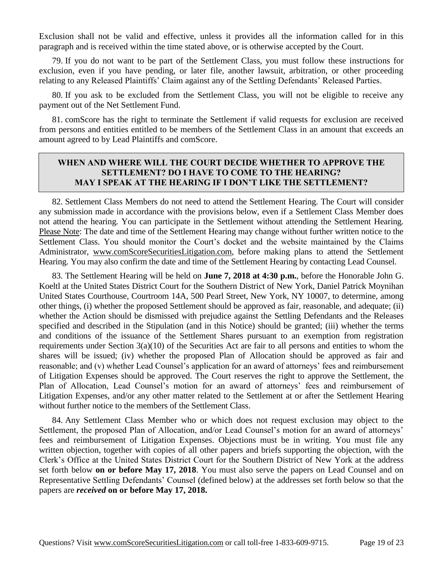Exclusion shall not be valid and effective, unless it provides all the information called for in this paragraph and is received within the time stated above, or is otherwise accepted by the Court.

79. If you do not want to be part of the Settlement Class, you must follow these instructions for exclusion, even if you have pending, or later file, another lawsuit, arbitration, or other proceeding relating to any Released Plaintiffs' Claim against any of the Settling Defendants' Released Parties.

80. If you ask to be excluded from the Settlement Class, you will not be eligible to receive any payment out of the Net Settlement Fund.

81. comScore has the right to terminate the Settlement if valid requests for exclusion are received from persons and entities entitled to be members of the Settlement Class in an amount that exceeds an amount agreed to by Lead Plaintiffs and comScore.

### **WHEN AND WHERE WILL THE COURT DECIDE WHETHER TO APPROVE THE SETTLEMENT? DO I HAVE TO COME TO THE HEARING? MAY I SPEAK AT THE HEARING IF I DON'T LIKE THE SETTLEMENT?**

82. Settlement Class Members do not need to attend the Settlement Hearing. The Court will consider any submission made in accordance with the provisions below, even if a Settlement Class Member does not attend the hearing. You can participate in the Settlement without attending the Settlement Hearing. Please Note: The date and time of the Settlement Hearing may change without further written notice to the Settlement Class. You should monitor the Court's docket and the website maintained by the Claims Administrator, www.comScoreSecuritiesLitigation.com, before making plans to attend the Settlement Hearing. You may also confirm the date and time of the Settlement Hearing by contacting Lead Counsel.

83. The Settlement Hearing will be held on **June 7, 2018 at 4:30 p.m.**, before the Honorable John G. Koeltl at the United States District Court for the Southern District of New York, Daniel Patrick Moynihan United States Courthouse, Courtroom 14A, 500 Pearl Street, New York, NY 10007, to determine, among other things, (i) whether the proposed Settlement should be approved as fair, reasonable, and adequate; (ii) whether the Action should be dismissed with prejudice against the Settling Defendants and the Releases specified and described in the Stipulation (and in this Notice) should be granted; (iii) whether the terms and conditions of the issuance of the Settlement Shares pursuant to an exemption from registration requirements under Section 3(a)(10) of the Securities Act are fair to all persons and entities to whom the shares will be issued; (iv) whether the proposed Plan of Allocation should be approved as fair and reasonable; and (v) whether Lead Counsel's application for an award of attorneys' fees and reimbursement of Litigation Expenses should be approved. The Court reserves the right to approve the Settlement, the Plan of Allocation, Lead Counsel's motion for an award of attorneys' fees and reimbursement of Litigation Expenses, and/or any other matter related to the Settlement at or after the Settlement Hearing without further notice to the members of the Settlement Class.

84. Any Settlement Class Member who or which does not request exclusion may object to the Settlement, the proposed Plan of Allocation, and/or Lead Counsel's motion for an award of attorneys' fees and reimbursement of Litigation Expenses. Objections must be in writing. You must file any written objection, together with copies of all other papers and briefs supporting the objection, with the Clerk's Office at the United States District Court for the Southern District of New York at the address set forth below **on or before May 17, 2018**. You must also serve the papers on Lead Counsel and on Representative Settling Defendants' Counsel (defined below) at the addresses set forth below so that the papers are *received* **on or before May 17, 2018.**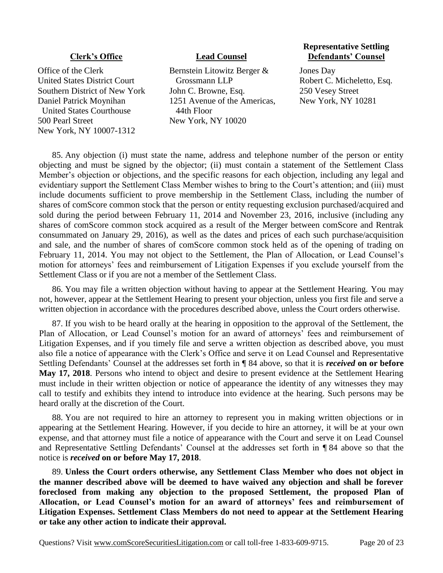#### **Clerk's Office Lead Counsel**

Office of the Clerk United States District Court Southern District of New York Daniel Patrick Moynihan United States Courthouse 500 Pearl Street New York, NY 10007-1312

Bernstein Litowitz Berger & Grossmann LLP John C. Browne, Esq. 1251 Avenue of the Americas, 44th Floor New York, NY 10020

#### **Representative Settling Defendants' Counsel**

Jones Day Robert C. Micheletto, Esq. 250 Vesey Street New York, NY 10281

85. Any objection (i) must state the name, address and telephone number of the person or entity objecting and must be signed by the objector; (ii) must contain a statement of the Settlement Class Member's objection or objections, and the specific reasons for each objection, including any legal and evidentiary support the Settlement Class Member wishes to bring to the Court's attention; and (iii) must include documents sufficient to prove membership in the Settlement Class, including the number of shares of comScore common stock that the person or entity requesting exclusion purchased/acquired and sold during the period between February 11, 2014 and November 23, 2016, inclusive (including any shares of comScore common stock acquired as a result of the Merger between comScore and Rentrak consummated on January 29, 2016), as well as the dates and prices of each such purchase/acquisition and sale, and the number of shares of comScore common stock held as of the opening of trading on February 11, 2014. You may not object to the Settlement, the Plan of Allocation, or Lead Counsel's motion for attorneys' fees and reimbursement of Litigation Expenses if you exclude yourself from the Settlement Class or if you are not a member of the Settlement Class.

86. You may file a written objection without having to appear at the Settlement Hearing. You may not, however, appear at the Settlement Hearing to present your objection, unless you first file and serve a written objection in accordance with the procedures described above, unless the Court orders otherwise.

87. If you wish to be heard orally at the hearing in opposition to the approval of the Settlement, the Plan of Allocation, or Lead Counsel's motion for an award of attorneys' fees and reimbursement of Litigation Expenses, and if you timely file and serve a written objection as described above, you must also file a notice of appearance with the Clerk's Office and serve it on Lead Counsel and Representative Settling Defendants' Counsel at the addresses set forth in ¶ 84 above, so that it is *received* **on or before May 17, 2018**. Persons who intend to object and desire to present evidence at the Settlement Hearing must include in their written objection or notice of appearance the identity of any witnesses they may call to testify and exhibits they intend to introduce into evidence at the hearing. Such persons may be heard orally at the discretion of the Court.

88. You are not required to hire an attorney to represent you in making written objections or in appearing at the Settlement Hearing. However, if you decide to hire an attorney, it will be at your own expense, and that attorney must file a notice of appearance with the Court and serve it on Lead Counsel and Representative Settling Defendants' Counsel at the addresses set forth in ¶ 84 above so that the notice is *received* **on or before May 17, 2018**.

89. **Unless the Court orders otherwise, any Settlement Class Member who does not object in the manner described above will be deemed to have waived any objection and shall be forever foreclosed from making any objection to the proposed Settlement, the proposed Plan of Allocation, or Lead Counsel's motion for an award of attorneys' fees and reimbursement of Litigation Expenses. Settlement Class Members do not need to appear at the Settlement Hearing or take any other action to indicate their approval.**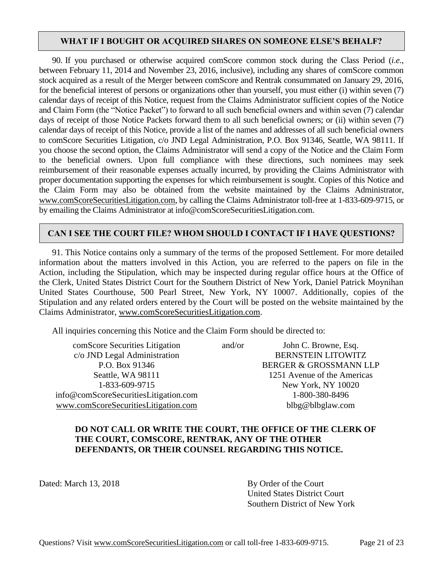#### **WHAT IF I BOUGHT OR ACQUIRED SHARES ON SOMEONE ELSE'S BEHALF?**

90. If you purchased or otherwise acquired comScore common stock during the Class Period (*i.e.*, between February 11, 2014 and November 23, 2016, inclusive), including any shares of comScore common stock acquired as a result of the Merger between comScore and Rentrak consummated on January 29, 2016, for the beneficial interest of persons or organizations other than yourself, you must either (i) within seven (7) calendar days of receipt of this Notice, request from the Claims Administrator sufficient copies of the Notice and Claim Form (the "Notice Packet") to forward to all such beneficial owners and within seven (7) calendar days of receipt of those Notice Packets forward them to all such beneficial owners; or (ii) within seven (7) calendar days of receipt of this Notice, provide a list of the names and addresses of all such beneficial owners to comScore Securities Litigation, c/o JND Legal Administration, P.O. Box 91346, Seattle, WA 98111. If you choose the second option, the Claims Administrator will send a copy of the Notice and the Claim Form to the beneficial owners. Upon full compliance with these directions, such nominees may seek reimbursement of their reasonable expenses actually incurred, by providing the Claims Administrator with proper documentation supporting the expenses for which reimbursement is sought. Copies of this Notice and the Claim Form may also be obtained from the website maintained by the Claims Administrator, www.comScoreSecuritiesLitigation.com, by calling the Claims Administrator toll-free at 1-833-609-9715, or by emailing the Claims Administrator at info@comScoreSecuritiesLitigation.com.

#### **CAN I SEE THE COURT FILE? WHOM SHOULD I CONTACT IF I HAVE QUESTIONS?**

91. This Notice contains only a summary of the terms of the proposed Settlement. For more detailed information about the matters involved in this Action, you are referred to the papers on file in the Action, including the Stipulation, which may be inspected during regular office hours at the Office of the Clerk, United States District Court for the Southern District of New York, Daniel Patrick Moynihan United States Courthouse, 500 Pearl Street, New York, NY 10007. Additionally, copies of the Stipulation and any related orders entered by the Court will be posted on the website maintained by the Claims Administrator, www.comScoreSecuritiesLitigation.com.

All inquiries concerning this Notice and the Claim Form should be directed to:

comScore Securities Litigation c/o JND Legal Administration P.O. Box 91346 Seattle, WA 98111 1-833-609-9715 info@comScoreSecuritiesLitigation.com www.comScoreSecuritiesLitigation.com and/or John C. Browne, Esq. BERNSTEIN LITOWITZ BERGER & GROSSMANN LLP 1251 Avenue of the Americas New York, NY 10020 1-800-380-8496 blbg@blbglaw.com

## **DO NOT CALL OR WRITE THE COURT, THE OFFICE OF THE CLERK OF THE COURT, COMSCORE, RENTRAK, ANY OF THE OTHER DEFENDANTS, OR THEIR COUNSEL REGARDING THIS NOTICE.**

Dated: March 13, 2018 By Order of the Court

United States District Court Southern District of New York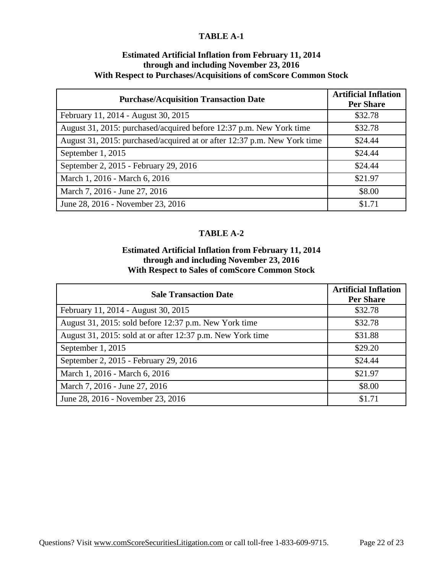## **TABLE A-1**

### **Estimated Artificial Inflation from February 11, 2014 through and including November 23, 2016 With Respect to Purchases/Acquisitions of comScore Common Stock**

| <b>Purchase/Acquisition Transaction Date</b>                             | <b>Artificial Inflation</b><br><b>Per Share</b> |
|--------------------------------------------------------------------------|-------------------------------------------------|
| February 11, 2014 - August 30, 2015                                      | \$32.78                                         |
| August 31, 2015: purchased/acquired before 12:37 p.m. New York time      | \$32.78                                         |
| August 31, 2015: purchased/acquired at or after 12:37 p.m. New York time | \$24.44                                         |
| September 1, 2015                                                        | \$24.44                                         |
| September 2, 2015 - February 29, 2016                                    | \$24.44                                         |
| March 1, 2016 - March 6, 2016                                            | \$21.97                                         |
| March 7, 2016 - June 27, 2016                                            | \$8.00                                          |
| June 28, 2016 - November 23, 2016                                        | \$1.71                                          |

## **TABLE A-2**

## **Estimated Artificial Inflation from February 11, 2014 through and including November 23, 2016 With Respect to Sales of comScore Common Stock**

| <b>Sale Transaction Date</b>                               | <b>Artificial Inflation</b><br><b>Per Share</b> |
|------------------------------------------------------------|-------------------------------------------------|
| February 11, 2014 - August 30, 2015                        | \$32.78                                         |
| August 31, 2015: sold before 12:37 p.m. New York time      | \$32.78                                         |
| August 31, 2015: sold at or after 12:37 p.m. New York time | \$31.88                                         |
| September 1, 2015                                          | \$29.20                                         |
| September 2, 2015 - February 29, 2016                      | \$24.44                                         |
| March 1, 2016 - March 6, 2016                              | \$21.97                                         |
| March 7, 2016 - June 27, 2016                              | \$8.00                                          |
| June 28, 2016 - November 23, 2016                          | \$1.71                                          |